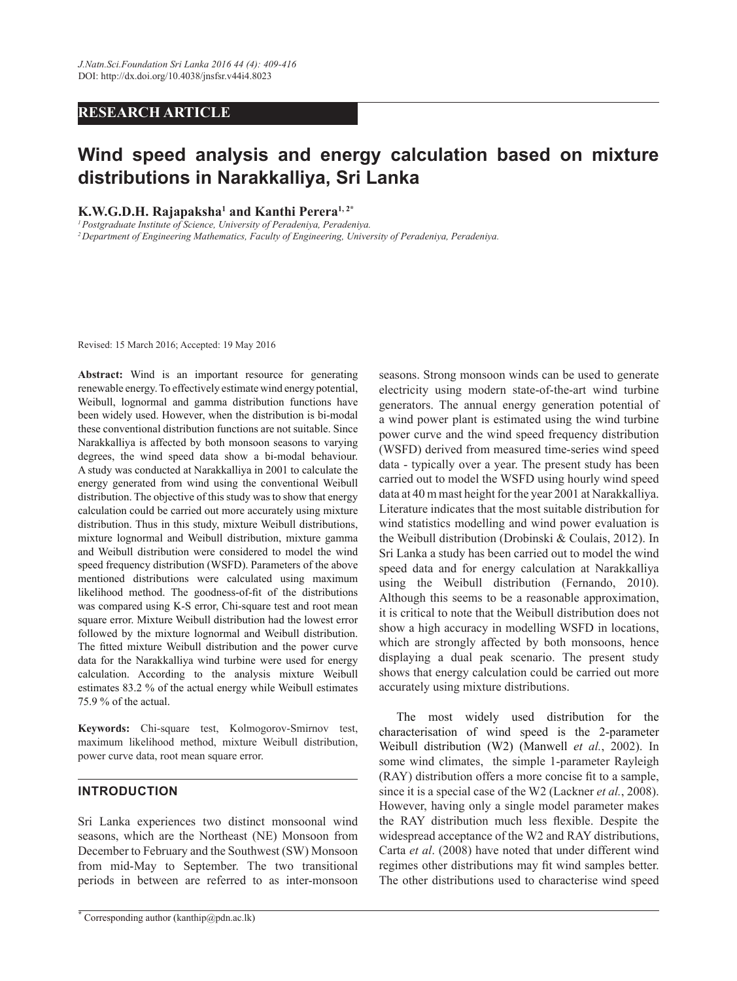## *RESEARCH ARTICLE*

## **Wind speed analysis and energy calculation based on mixture** distributions in Narakkalliya, Sri Lanka

**K.W.G.D.H. Rajapaksha<sup>1</sup> and Kanthi Perera<sup>1,2\*</sup>** 

*<sup>1</sup>Postgraduate Institute of Science, University of Peradeniya, Peradeniya. <sup>2</sup>Department of Engineering Mathematics, Faculty of Engineering, University of Peradeniya, Peradeniya.* 

Revised: 15 March 2016; Accepted: 19 May 2016

Abstract: Wind is an important resource for generating renewable energy. To effectively estimate wind energy potential, Weibull, lognormal and gamma distribution functions have been widely used. However, when the distribution is bi-modal these conventional distribution functions are not suitable. Since Narakkalliya is affected by both monsoon seasons to varying degrees, the wind speed data show a bi-modal behaviour. A study was conducted at Narakkalliya in 2001 to calculate the energy generated from wind using the conventional Weibull distribution. The objective of this study was to show that energy calculation could be carried out more accurately using mixture distribution. Thus in this study, mixture Weibull distributions, mixture lognormal and Weibull distribution, mixture gamma and Weibull distribution were considered to model the wind speed frequency distribution (WSFD). Parameters of the above mentioned distributions were calculated using maximum likelihood method. The goodness-of-fit of the distributions was compared using K-S error, Chi-square test and root mean square error. Mixture Weibull distribution had the lowest error followed by the mixture lognormal and Weibull distribution. The fitted mixture Weibull distribution and the power curve data for the Narakkalliya wind turbine were used for energy calculation. According to the analysis mixture Weibull estimates 83.2 % of the actual energy while Weibull estimates 75.9 % of the actual.

Keywords: Chi-square test, Kolmogorov-Smirnov test, maximum likelihood method, mixture Weibull distribution, power curve data, root mean square error.

## **INTRODUCTION**

Sri Lanka experiences two distinct monsoonal wind seasons, which are the Northeast (NE) Monsoon from December to February and the Southwest (SW) Monsoon from mid-May to September. The two transitional periods in between are referred to as inter-monsoon seasons. Strong monsoon winds can be used to generate electricity using modern state-of-the-art wind turbine generators. The annual energy generation potential of a wind power plant is estimated using the wind turbine power curve and the wind speed frequency distribution (WSFD) derived from measured time-series wind speed data - typically over a year. The present study has been carried out to model the WSFD using hourly wind speed data at 40 m mast height for the year 2001 at Narakkalliya. Literature indicates that the most suitable distribution for wind statistics modelling and wind power evaluation is the Weibull distribution (Drobinski & Coulais, 2012). In Sri Lanka a study has been carried out to model the wind speed data and for energy calculation at Narakkalliya using the Weibull distribution (Fernando, 2010). Although this seems to be a reasonable approximation, it is critical to note that the Weibull distribution does not show a high accuracy in modelling WSFD in locations, which are strongly affected by both monsoons, hence displaying a dual peak scenario. The present study shows that energy calculation could be carried out more accurately using mixture distributions.

 The most widely used distribution for the characterisation of wind speed is the 2-parameter Weibull distribution (W2) (Manwell *et al.*, 2002). In some wind climates, the simple 1-parameter Rayleigh (RAY) distribution offers a more concise fit to a sample, since it is a special case of the W2 (Lackner *et al.*, 2008). However, having only a single model parameter makes the RAY distribution much less flexible. Despite the widespread acceptance of the W2 and RAY distributions, Carta *et al*. (2008) have noted that under different wind regimes other distributions may fit wind samples better. The other distributions used to characterise wind speed

**<sup>\*</sup>** Corresponding author (kanthip@pdn.ac.lk)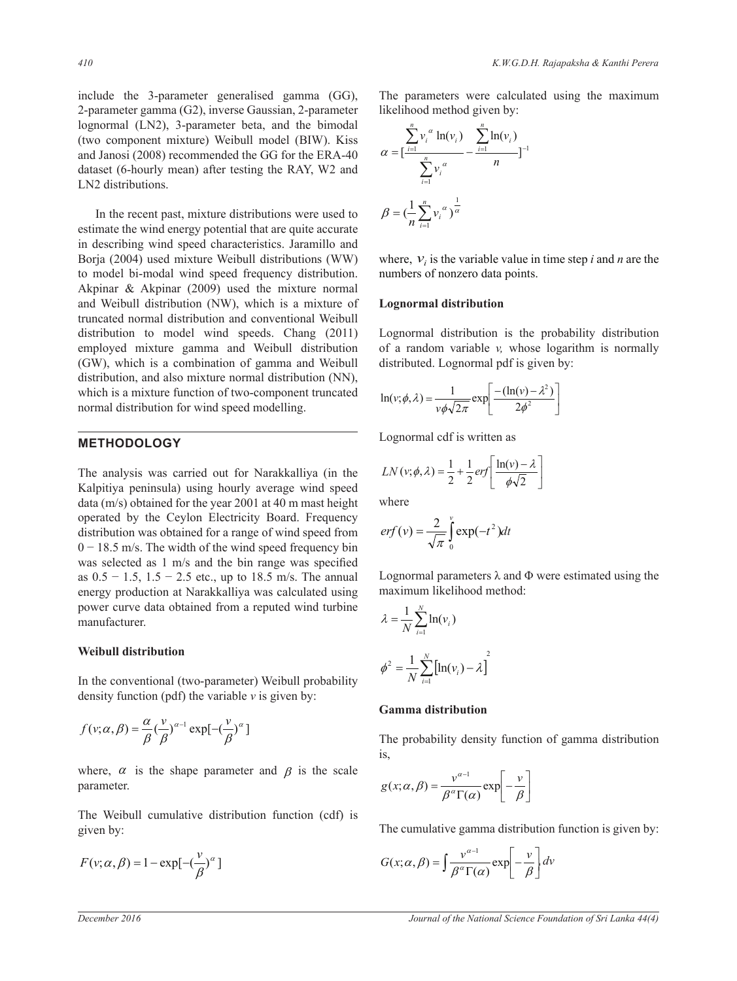include the 3-parameter generalised gamma (GG), 2-parameter gamma (G2), inverse Gaussian, 2-parameter lognormal (LN2), 3-parameter beta, and the bimodal (two component mixture) Weibull model (BIW). Kiss and Janosi (2008) recommended the GG for the ERA-40 dataset (6-hourly mean) after testing the RAY, W2 and LN2 distributions.

 In the recent past, mixture distributions were used to estimate the wind energy potential that are quite accurate in describing wind speed characteristics. Jaramillo and Borja (2004) used mixture Weibull distributions (WW) to model bi-modal wind speed frequency distribution. Akpinar & Akpinar (2009) used the mixture normal and Weibull distribution (NW), which is a mixture of truncated normal distribution and conventional Weibull distribution to model wind speeds. Chang (2011) employed mixture gamma and Weibull distribution (GW), which is a combination of gamma and Weibull distribution, and also mixture normal distribution (NN), which is a mixture function of two-component truncated normal distribution for wind speed modelling.

## **METHODOLOGY**

The analysis was carried out for Narakkalliya (in the Kalpitiya peninsula) using hourly average wind speed data (m/s) obtained for the year 2001 at 40 m mast height operated by the Ceylon Electricity Board. Frequency distribution was obtained for a range of wind speed from  $0-18.5$  m/s. The width of the wind speed frequency bin was selected as  $1 \text{ m/s}$  and the bin range was specified as  $0.5 - 1.5$ ,  $1.5 - 2.5$  etc., up to 18.5 m/s. The annual energy production at Narakkalliya was calculated using power curve data obtained from a reputed wind turbine manufacturer.

## **Weibull distribution**

In the conventional (two-parameter) Weibull probability density function (pdf) the variable *v* is given by:

$$
f(v; \alpha, \beta) = \frac{\alpha}{\beta} \left(\frac{v}{\beta}\right)^{\alpha - 1} \exp[-\left(\frac{v}{\beta}\right)^{\alpha}]
$$

where,  $\alpha$  is the shape parameter and  $\beta$  is the scale parameter.

The Weibull cumulative distribution function (cdf) is given by:

$$
F(v; \alpha, \beta) = 1 - \exp[-(\frac{v}{\beta})^{\alpha}]
$$

The parameters were calculated using the maximum likelihood method given by:

$$
\alpha = \left[\frac{\sum_{i=1}^{n} v_i^{\alpha} \ln(v_i)}{\sum_{i=1}^{n} v_i^{\alpha}} - \frac{\sum_{i=1}^{n} \ln(v_i)}{n}\right]^{-1}
$$

$$
\beta = \left(\frac{1}{n} \sum_{i=1}^{n} v_i^{\alpha}\right)^{\frac{1}{\alpha}}
$$

where,  $v_i$  is the variable value in time step *i* and *n* are the numbers of nonzero data points.

#### **Lognormal distribution**

Lognormal distribution is the probability distribution of a random variable *v,* whose logarithm is normally distributed. Lognormal pdf is given by:

$$
\ln(v; \phi, \lambda) = \frac{1}{v\phi\sqrt{2\pi}} \exp\left[\frac{-(\ln(v) - \lambda^2)}{2\phi^2}\right]
$$

Lognormal cdf is written as

$$
LN(v; \phi, \lambda) = \frac{1}{2} + \frac{1}{2} erf \left[ \frac{\ln(v) - \lambda}{\phi \sqrt{2}} \right]
$$

where

$$
erf(v) = \frac{2}{\sqrt{\pi}} \int_{0}^{v} \exp(-t^2) dt
$$

Lognormal parameters  $\lambda$  and  $\Phi$  were estimated using the maximum likelihood method:

$$
\lambda = \frac{1}{N} \sum_{i=1}^{N} \ln(v_i)
$$

$$
\phi^2 = \frac{1}{N} \sum_{i=1}^{N} \left[ \ln(v_i) - \lambda \right]^2
$$

### **Gamma distribution**

The probability density function of gamma distribution is,

$$
g(x; \alpha, \beta) = \frac{v^{\alpha-1}}{\beta^{\alpha} \Gamma(\alpha)} \exp\left[-\frac{v}{\beta}\right]
$$

The cumulative gamma distribution function is given by:

$$
G(x; \alpha, \beta) = \int \frac{v^{\alpha - 1}}{\beta^{\alpha} \Gamma(\alpha)} \exp\left[-\frac{v}{\beta}\right] dv
$$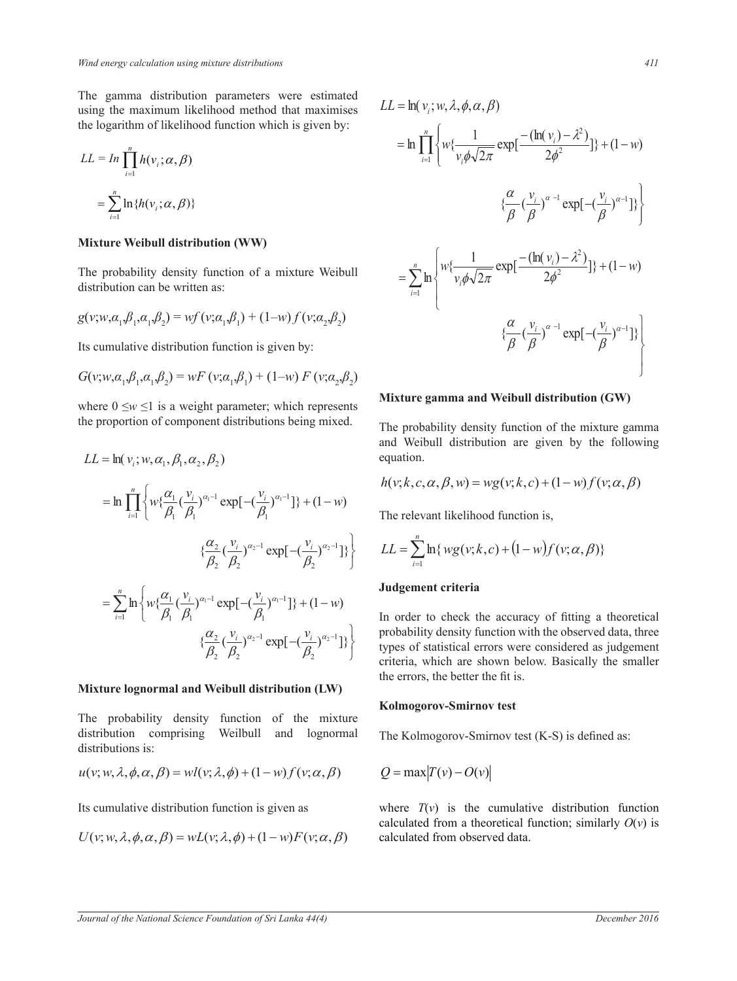The gamma distribution parameters were estimated  $LI = \ln(v, w, \lambda, \phi, \alpha, \beta)$ using the maximum likelihood method that maximises the logarithm of likelihood function which is given by:  $\frac{1}{2}$  were estimated

$$
LL = In \prod_{i=1}^{n} h(\nu_i; \alpha, \beta)
$$
  
= 
$$
\sum_{i=1}^{n} \ln \{h(\nu_i; \alpha, \beta)\}
$$
  

$$
\lambda \phi \alpha \beta
$$

## **Mixture Weibull distribution (WW)**

The probability density function of a mixture Weibull<br>distribution can be emitted as distribution can be written as:  $\mathbf{r}$   $\sim$  min a mixture Weibi °

$$
g(v; w, a_1, \beta_1, a_1, \beta_2) = wf(v; a_1, \beta_1) + (1-w)f(v; a_2, \beta_2)
$$

Its cumulative distribution function is given by: s given l

$$
G(v; w, a_1, \beta_1, a_1, \beta_2) = wF(v; a_1, \beta_1) + (1-w) F(v; a_2, \beta_2)
$$

where  $0 \le w \le 1$  is a weight parameter; which represents the proportion of component distributions being mixed.

$$
LL = \ln(v_i; w, \alpha_1, \beta_1, \alpha_2, \beta_2)
$$
equation.  
\n
$$
= \ln \prod_{i=1}^n \left\{ w_i^{\alpha_1} \left( \frac{v_i}{\beta_1} \right)^{\alpha_1 - 1} \exp[-\left( \frac{v_i}{\beta_1} \right)^{\alpha_1 - 1}]\right\} + (1 - w)
$$
  
\nThe relevant likelihood of  
\n
$$
\left\{ \frac{\alpha_2}{\beta_2} \left( \frac{v_i}{\beta_2} \right)^{\alpha_2 - 1} \exp[-\left( \frac{v_i}{\beta_2} \right)^{\alpha_2 - 1}]\right\}
$$
  
\n
$$
= \sum_{i=1}^n \ln \left\{ w_i^{\alpha_1} \left( \frac{v_i}{\beta_1} \right)^{\alpha_1 - 1} \exp[-\left( \frac{v_i}{\beta_2} \right)^{\alpha_1 - 1}]\right\} + (1 - w)
$$
  
\n**Judgement criteria**  
\n
$$
\lambda \phi \alpha \beta = \left\{ \frac{\alpha_2}{\beta_2} \left( \frac{v_i}{\beta_2} \right)^{\alpha_1 - 1} \exp[-\left( \frac{v_i}{\beta_2} \right)^{\alpha_1 - 1}]\right\} + (1 - w)
$$
  
\nIn order to check the ac  
\n*h* to check the an probability density function  
\n
$$
\left\{ \frac{\alpha_2}{\beta_2} \left( \frac{v_i}{\beta_2} \right)^{\alpha_1 - 1} \exp[-\left( \frac{v_i}{\beta_2} \right)^{\alpha_2 - 1}] \right\} \left\{ \beta \text{ probability density function}
$$
  
\n
$$
\left\{ \frac{\alpha_2}{\beta_2} \left( \frac{v_i}{\beta_2} \right)^{\alpha_2 - 1} \exp[-\left( \frac{v_i}{\beta_2} \right)^{\alpha_2 - 1}] \right\} \left\{ \beta \text{ probability density function}
$$

#### $\lambda \phi \alpha \beta =$  Mixture Jognormal and Weihall distribution (LW)<br>K صاحب السياسة<br>Mixtuge<sub>c</sub>lognormal and Weiball distribution (LW) il and Weiball distribution (LW)<br>Kolmogorov-Smirnov test counter and verify the distribution of the <sup>d</sup> the ormal and Weib**3**ll distribution (LW)

utions is: ∕'<br>∷ ® bability density function of the mixt and lognormal The Ko The probability density function of the mixture<br>distribution comprising Weilbull and lognormal distributions is: nognormal The Kolmogorov-The probability density function of the mixture **Kolmo** O I D E O I D E O I D E O I D E O I D E O I D E O I D E O I D E O I D E O I D E O I D E O I D E O I D E O I D  $\blacksquare$  <br> kolmogorov-S<br>density function of the mixture density function of the mixture<br>prising Weilbull and lognormal The Kolmogorov-Smirnov  $\ddot{\phantom{0}}$  $E_{\rm B}$  is.

$$
u(v; w, \lambda, \phi, \alpha, \beta) = wl(v; \lambda, \phi) + (1 - w)f(v; \alpha, \beta)
$$
  
*Q* = m  
Its cumulative distribution function is given as where

umulativ mulative distribution function is given as<br>
where  $T(v)$  is Its cumulative distribution function is given as

$$
U(v; w, \lambda, \phi, \alpha, \beta) = wL(v; \lambda, \phi) + (1 - w)F(v; \alpha, \beta)
$$

$$
\lambda \phi \alpha \beta = \lambda \phi + - \alpha \beta
$$
\n*autions*\n
$$
411
$$

 $\overline{e}$   $\overline{e}$ 

 $\overline{e}$ 

$$
\begin{aligned}\n\text{Assuming } L & = \ln(v_i; w, \lambda, \phi, \alpha, \beta) \\
\text{given by:} \\
\lambda \phi \alpha \beta & = \qquad \Rightarrow \mathbf{h} \prod_{i=1}^n \left\{ w \left\{ \frac{1}{v_i \phi \sqrt{2\pi}} \exp\left\{ \frac{-\left( \ln(v_i) - \lambda^2 \right)}{\beta \phi^2} \right\} \right\} + (1 - w) \\
&\quad \left\{ \frac{\alpha}{\beta} \left( \frac{v_i}{\beta} \right)^{\alpha - 1} \exp\left\{ -\left( \frac{v_i}{\beta} \right)^{\alpha - 1} \right\} \right\} \\
\text{are Weibull} \\
& = \sum_{i=1}^n \ln \left\{ w \left\{ \frac{1}{v_i \phi \sqrt{2\pi}} \exp\left\{ \frac{-\left( \ln(v_i) - \lambda^2 \right)}{2\phi^2} \right\} \right\} + (1 - w) \\
\text{for } v_i \alpha_2, \beta_2\n\end{aligned}
$$
\n
$$
\begin{aligned}\n\text{for } \alpha, \beta \\
\text{by:} \\
\text{For } \beta\n\end{aligned}
$$

#### $\mu_{y,1}(\nu,\omega_2,\mu_2)$  Mixture gamma and W Mixture gamma and Weibull distribution (GW) re gamma and Weibull distribution (GW) ¦ E E E E E E E E E E E ure gamma and Weihull die E E E

probability density fund<br>Weibull distribution a g mixed. The probability density function of the mixture gamma and Weibull distribution are given by the following equation. equation. e pro<br>1 We The probability density function of the mixture gamma<br>and Wolbull distribution are given by the following

$$
h(v; k, c, \alpha, \beta, w) = wg(v; k, c) + (1 - w)f(v; \alpha, \beta)
$$

 $\ddot{\phantom{1}}$  $\frac{1}{2}$  The relevant likelihood function The relevant likelihood function is,  $\mathcal{D}_{\mathcal{D}}$ 

$$
L = \sum_{i=1}^{n} \ln \{ w g(v; k, c) + (1 - w) f(v; \alpha, \beta) \}
$$

## **Judgement criteria**

In order to check the accuracy of fitting a theoretical  $\begin{bmatrix} \beta & \text{probability density function with the observed data three} \end{bmatrix}$ <sup>O</sup> I <sup>D</sup> E <sup>O</sup> I 1( *w vf* ;() <sup>D</sup> E ¿ the errors, the better the fit is.  $P_2$   $P_2$   $P_3$  criteria, which are shown below. Basically the smaller  $\frac{1}{2}$  the set of the set of the set of the set of the set of the set of the set of the set of the set of the set of the set of the set of the set of the set of the set of the set of the set of the set of the set of th  $\overline{\phantom{a}}$  $\frac{v_i}{2}$   $\left| \beta \right|$  probability density function with the observed data, three probability density function with the observed data, three<br>types of statistical errors were considered as judgement

#### $\ddot{\phantom{1}}$ ¾ и последници по последници и последници и последници и производите и при последници и при последници и при пос<br>В 1990 године последници и при последници и при последници и при последници и при последници и при последници **Kolmogorov-Smirnov test**

The Kolmogorovprmal The Kolmogorov-Smi .<br>נו The Kolmogorov-Smirnov test (K-S) is defined as:

$$
Q = \max |T(v) - O(v)|
$$

°¿

°

s where  $T(v)$  is the a the calculated from a theoretical function; similarly  $O(v)$  is ½ calculated from observed data.where  $T(v)$  is the cumulative distribution function

 $\overline{1}$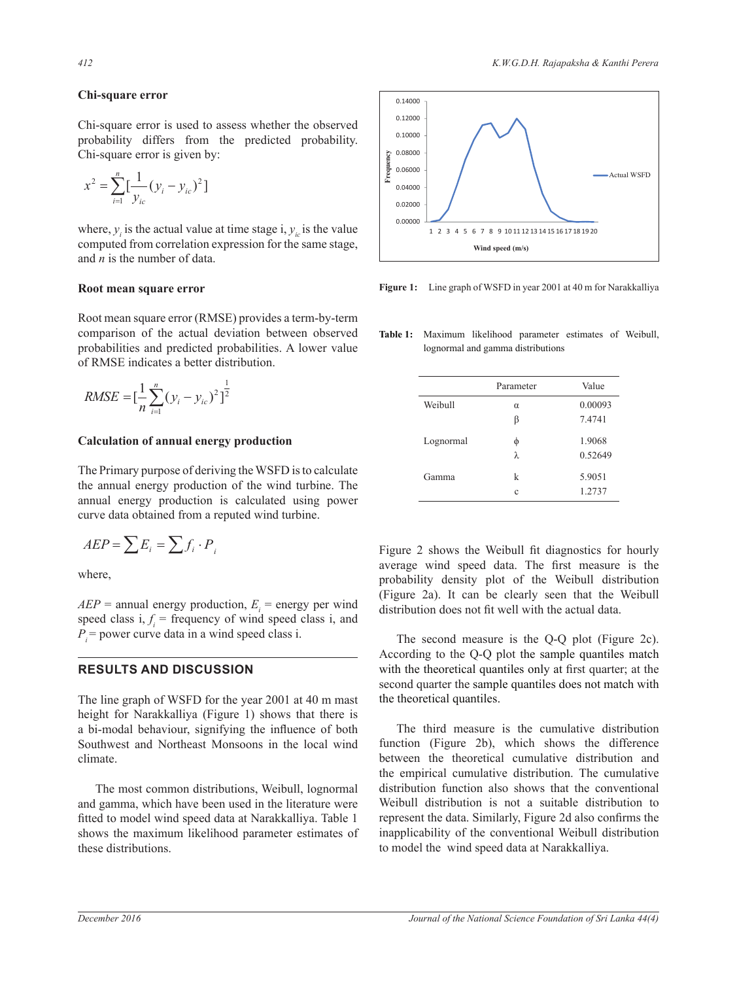## Chi-square error

Chi-square error is used to assess whether the observed  $\frac{1}{2}$  em-square error is used to assess whether the observed probability. Chi-square error is given by:

$$
x^{2} = \sum_{i=1}^{n} \left[\frac{1}{y_{ic}}(y_{i} - y_{ic})^{2}\right]
$$

 $\frac{1}{2}$  of the stand value in the single 1,  $y_i$  and  $\frac{1}{2}$  and  $\frac{1}{2}$  is the number of data and  $\overline{n}$  is the number of data. where,  $y_i$  is the actual value at time stage i,  $y_i$  is the value where,  $y_i$  is the actual value at time stage i,  $y_i$  is the value

## $\frac{1}{2}$  **Root mean square error**

Root mean square error (RMSE) provides a term-by-term comparison of the actual deviation between observed comparison of the actual deviation between observed<br>probabilities and predicted probabilities. A lower value of RMSE indicates a better distribution.

RMSE = 
$$
\left[\frac{1}{n}\sum_{i=1}^{n} (y_i - y_{ic})^2\right]^{\frac{1}{2}}
$$

# $C$  alculation of annual energy production

The Primary purpose of deriving the WSFD is to calculate the annual energy production of the wind turbine. The Ine annual energy production of the wind turbine. The<br>annual energy production is calculated using power curve data obtained from a reputed wind turbine.

$$
AEP = \sum E_i = \sum f_i \cdot P_i
$$

where,

 $AEP$  = annual energy production,  $E<sub>i</sub>$  = energy per wind speed class  $i, f_i$  = frequency of wind speed class i, and  $P$  = power curve data in a wind speed class i.

## **RESULTS AND DISCUSSION**

The line graph of WSFD for the year 2001 at 40 m mast height for Narakkalliya (Figure 1) shows that there is a bi-modal behaviour, signifying the influence of both Southwest and Northeast Monsoons in the local wind climate.

 The most common distributions, Weibull, lognormal and gamma, which have been used in the literature were fitted to model wind speed data at Narakkalliya. Table 1 shows the maximum likelihood parameter estimates of these distributions.



Figure 1: Line graph of WSFD in year 2001 at 40 m for Narakkalliya

Table 1: Maximum likelihood parameter estimates of Weibull, lognormal and gamma distributions

|           | Parameter   | Value   |
|-----------|-------------|---------|
| Weibull   | $\alpha$    | 0.00093 |
|           | β           | 7.4741  |
| Lognormal | φ           | 1.9068  |
|           | $\lambda$ . | 0.52649 |
| Gamma     | k           | 5.9051  |
|           | c           | 1.2737  |

Figure 2 shows the Weibull fit diagnostics for hourly average wind speed data. The first measure is the probability density plot of the Weibull distribution (Figure 2a). It can be clearly seen that the Weibull distribution does not fit well with the actual data.

 The second measure is the Q-Q plot (Figure 2c). According to the Q-Q plot the sample quantiles match with the theoretical quantiles only at first quarter; at the second quarter the sample quantiles does not match with the theoretical quantiles.

 The third measure is the cumulative distribution function (Figure 2b), which shows the difference between the theoretical cumulative distribution and the empirical cumulative distribution. The cumulative distribution function also shows that the conventional Weibull distribution is not a suitable distribution to represent the data. Similarly, Figure 2d also confirms the inapplicability of the conventional Weibull distribution to model the wind speed data at Narakkalliya.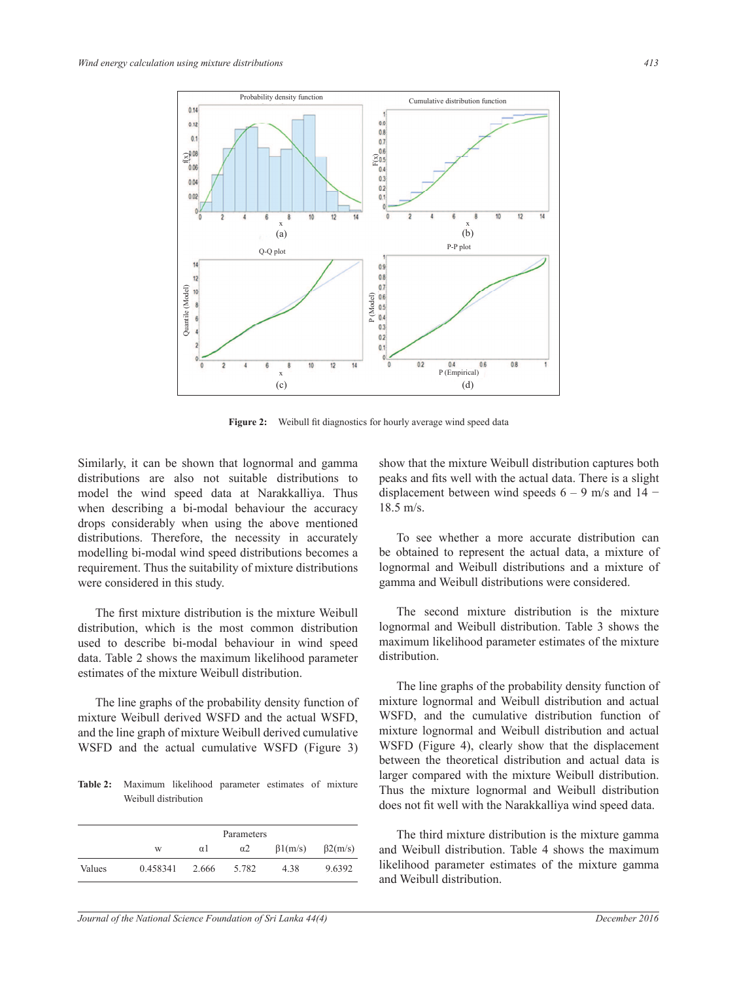

**Figure 2:** Weibull fit diagnostics for hourly average wind speed data

Similarly, it can be shown that lognormal and gamma distributions are also not suitable distributions to model the wind speed data at Narakkalliya. Thus when describing a bi-modal behaviour the accuracy drops considerably when using the above mentioned distributions. Therefore, the necessity in accurately modelling bi-modal wind speed distributions becomes a requirement. Thus the suitability of mixture distributions were considered in this study.

The first mixture distribution is the mixture Weibull distribution, which is the most common distribution used to describe bi-modal behaviour in wind speed data. Table 2 shows the maximum likelihood parameter estimates of the mixture Weibull distribution.

 The line graphs of the probability density function of mixture Weibull derived WSFD and the actual WSFD, and the line graph of mixture Weibull derived cumulative WSFD and the actual cumulative WSFD (Figure 3)

Table 2: Maximum likelihood parameter estimates of mixture Weibull distribution

|        | Parameters |          |            |               |                |  |  |  |
|--------|------------|----------|------------|---------------|----------------|--|--|--|
|        | W          | $\alpha$ | $\alpha$ 2 | $\beta1(m/s)$ | $\beta$ 2(m/s) |  |  |  |
| Values | 0.458341   | 2.666    | 5.782      | 4.38          | 9.6392         |  |  |  |

show that the mixture Weibull distribution captures both peaks and fits well with the actual data. There is a slight displacement between wind speeds  $6-9$  m/s and  $14-$ 18.5 m/s.

 To see whether a more accurate distribution can be obtained to represent the actual data, a mixture of lognormal and Weibull distributions and a mixture of gamma and Weibull distributions were considered.

 The second mixture distribution is the mixture lognormal and Weibull distribution. Table 3 shows the maximum likelihood parameter estimates of the mixture distribution.

 The line graphs of the probability density function of mixture lognormal and Weibull distribution and actual WSFD, and the cumulative distribution function of mixture lognormal and Weibull distribution and actual WSFD (Figure 4), clearly show that the displacement between the theoretical distribution and actual data is larger compared with the mixture Weibull distribution. Thus the mixture lognormal and Weibull distribution does not fit well with the Narakkalliya wind speed data.

 The third mixture distribution is the mixture gamma and Weibull distribution. Table 4 shows the maximum likelihood parameter estimates of the mixture gamma and Weibull distribution.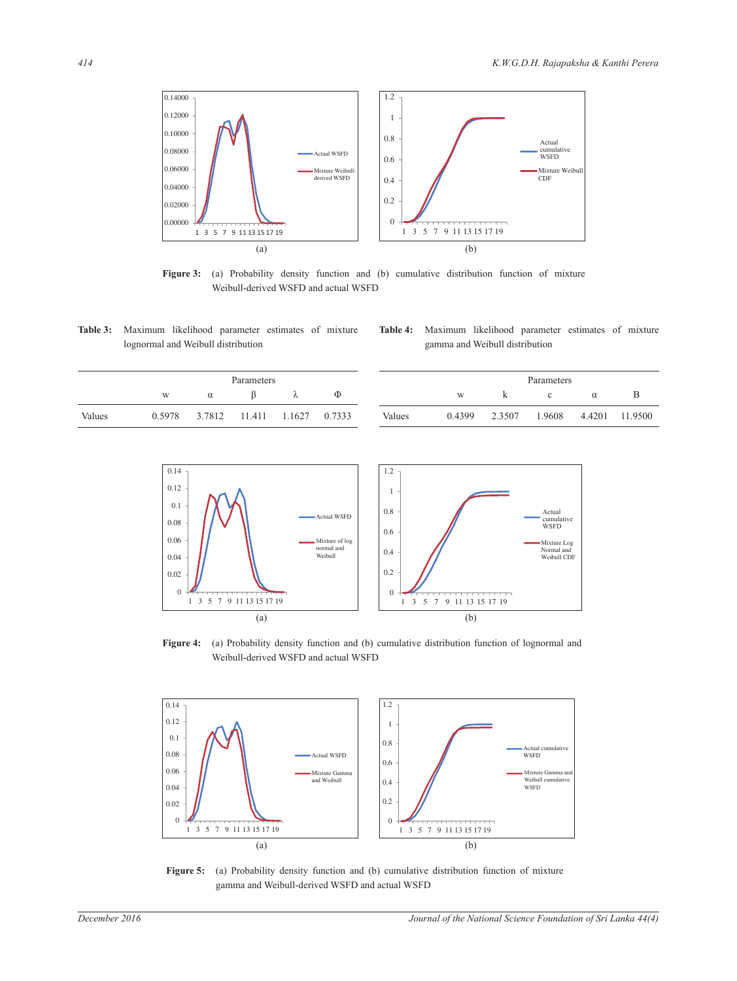

Figure 3: (a) Probability density function and (b) cumulative distribution function of mixture Weibull-derived WSFD and actual WSFD

Table 3: Maximum likelihood parameter estimates of mixture lognormal and Weibull distribution

Table 4: Maximum likelihood parameter estimates of mixture gamma and Weibull distribution

| Parameters |        |   |               | Parameters                |        |        |        |        |       |        |         |
|------------|--------|---|---------------|---------------------------|--------|--------|--------|--------|-------|--------|---------|
|            | W      | α |               | Λ                         | Ф      |        | W      |        |       |        | D       |
| Values     | 0.5978 |   | 3.7812 11.411 | $\cdot$ 1.1627 $^{\circ}$ | 0.7333 | Values | 0.4399 | 2.3507 | .9608 | 4.4201 | 11.9500 |

0.4 0.6 0.8 1 1.2 Cumulative cumulative WSFD Mixture Log Normal and Weibull CDF Actual



Figure 4: (a) Probability density function and (b) cumulative distribution function of lognormal and Weibull-derived WSFD and actual WSFD



Figure 5: (a) Probability density function and (b) cumulative distribution function of mixture gamma and Weibull-derived WSFD and actual WSFD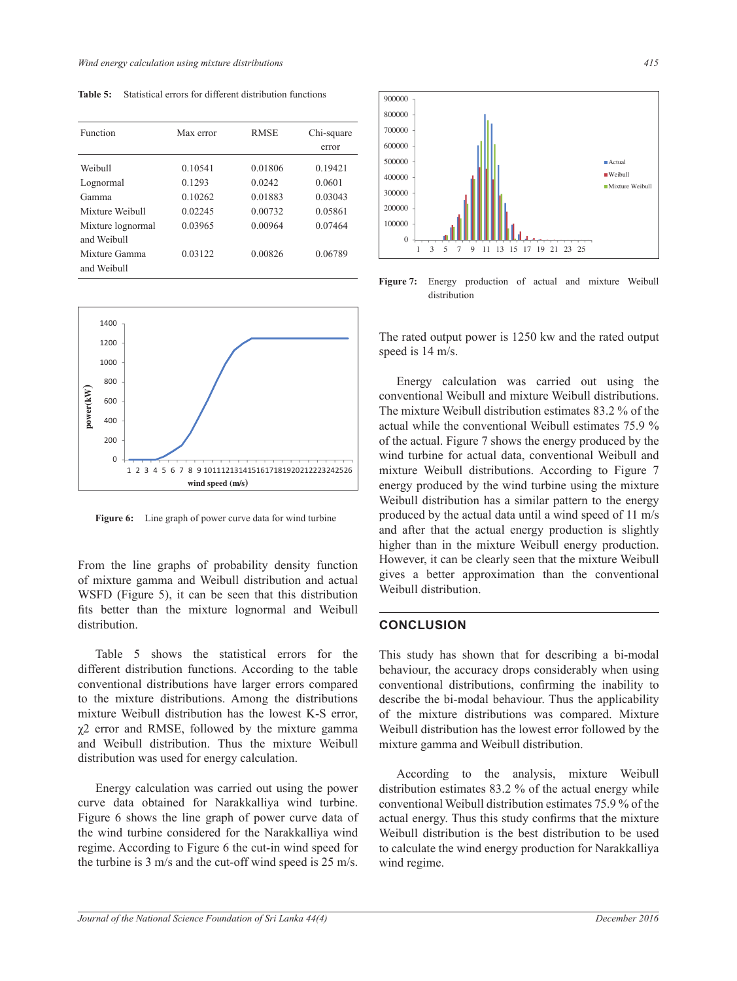Table 5: Statistical errors for different distribution functions

| Function          | Max error | <b>RMSE</b> | Chi-square |  |
|-------------------|-----------|-------------|------------|--|
|                   |           |             | error      |  |
| Weibull           | 0.10541   | 0.01806     | 0.19421    |  |
| Lognormal         | 0.1293    | 0.0242      | 0.0601     |  |
| Gamma             | 0.10262   | 0.01883     | 0.03043    |  |
| Mixture Weibull   | 0.02245   | 0.00732     | 0.05861    |  |
| Mixture lognormal | 0.03965   | 0.00964     | 0.07464    |  |
| and Weibull       |           |             |            |  |
| Mixture Gamma     | 0.03122   | 0.00826     | 0.06789    |  |
| and Weibull       |           |             |            |  |



**Figure 6:** Line graph of power curve data for wind turbine

From the line graphs of probability density function of mixture gamma and Weibull distribution and actual WSFD (Figure 5), it can be seen that this distribution fits better than the mixture lognormal and Weibull distribution.

 Table 5 shows the statistical errors for the different distribution functions. According to the table conventional distributions have larger errors compared to the mixture distributions. Among the distributions mixture Weibull distribution has the lowest K-S error,  $\chi$ 2 error and RMSE, followed by the mixture gamma and Weibull distribution. Thus the mixture Weibull distribution was used for energy calculation.

 Energy calculation was carried out using the power curve data obtained for Narakkalliya wind turbine. Figure 6 shows the line graph of power curve data of the wind turbine considered for the Narakkalliya wind regime. According to Figure 6 the cut-in wind speed for the turbine is 3 m/s and the cut-off wind speed is 25 m/s.



Figure 7: Energy production of actual and mixture Weibull distribution

The rated output power is 1250 kw and the rated output speed is 14 m/s.

 Energy calculation was carried out using the conventional Weibull and mixture Weibull distributions. The mixture Weibull distribution estimates 83.2 % of the actual while the conventional Weibull estimates 75.9 % of the actual. Figure 7 shows the energy produced by the wind turbine for actual data, conventional Weibull and mixture Weibull distributions. According to Figure 7 energy produced by the wind turbine using the mixture Weibull distribution has a similar pattern to the energy produced by the actual data until a wind speed of 11 m/s and after that the actual energy production is slightly higher than in the mixture Weibull energy production. However, it can be clearly seen that the mixture Weibull gives a better approximation than the conventional Weibull distribution.

## **CONCLUSION**

This study has shown that for describing a bi-modal behaviour, the accuracy drops considerably when using conventional distributions, confirming the inability to describe the bi-modal behaviour. Thus the applicability of the mixture distributions was compared. Mixture Weibull distribution has the lowest error followed by the mixture gamma and Weibull distribution.

 According to the analysis, mixture Weibull distribution estimates 83.2 % of the actual energy while conventional Weibull distribution estimates 75.9 % of the actual energy. Thus this study confirms that the mixture Weibull distribution is the best distribution to be used to calculate the wind energy production for Narakkalliya wind regime.